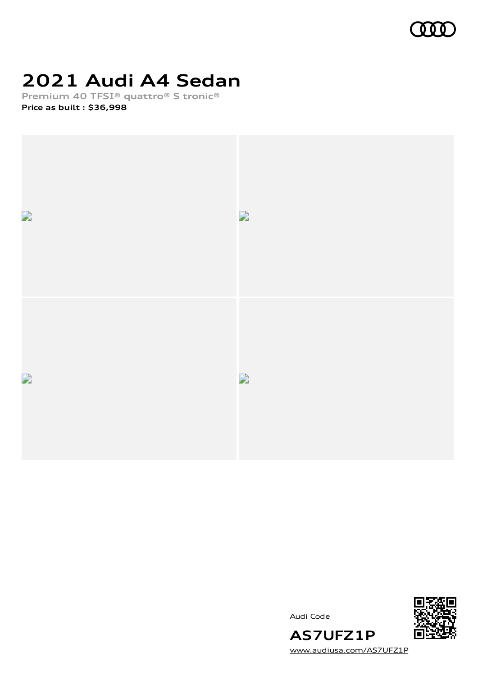

## **2021 Audi A4 Sedan**

**Premium 40 TFSI® quattro® S tronic® Price as built [:](#page-10-0) \$36,998**



Audi Code



**AS7UFZ1P** [www.audiusa.com/AS7UFZ1P](https://www.audiusa.com/AS7UFZ1P)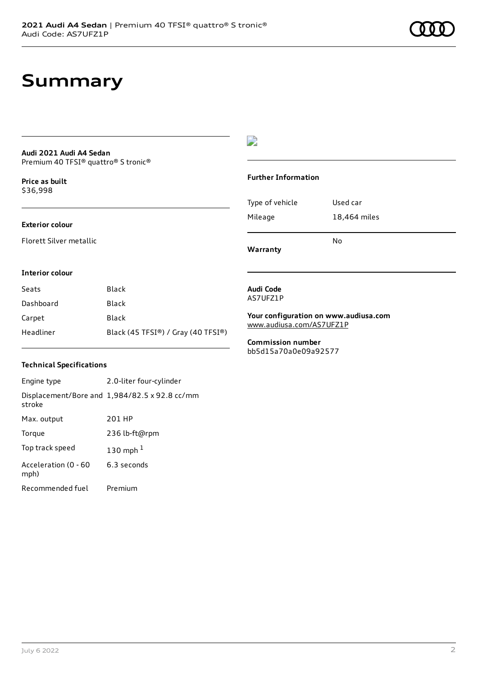### **Summary**

#### **Audi 2021 Audi A4 Sedan** Premium 40 TFSI® quattro® S tronic®

**Price as buil[t](#page-10-0)** \$36,998

#### **Exterior colour**

Florett Silver metallic

### D

#### **Further Information**

Type of vehicle Used car Mileage 18,464 miles

**Warranty**

#### **Interior colour**

| Seats     | Black                              |
|-----------|------------------------------------|
| Dashboard | Black                              |
| Carpet    | Black                              |
| Headliner | Black (45 TFSI®) / Gray (40 TFSI®) |

#### **Technical Specifications**

Engine type 2.0-liter four-cylinder Displacement/Bore and 1,984/82.5 x 92.8 cc/mm stroke Max. output 201 HP Torque 236 lb-ft@rpm Top track speed [1](#page-10-0)30 mph $<sup>1</sup>$ </sup> Acceleration (0 - 60 mph) 6.3 seconds Recommended fuel Premium

#### **Audi Code** AS7UFZ1P

**Your configuration on www.audiusa.com** [www.audiusa.com/AS7UFZ1P](https://www.audiusa.com/AS7UFZ1P)

No

**Commission number** bb5d15a70a0e09a92577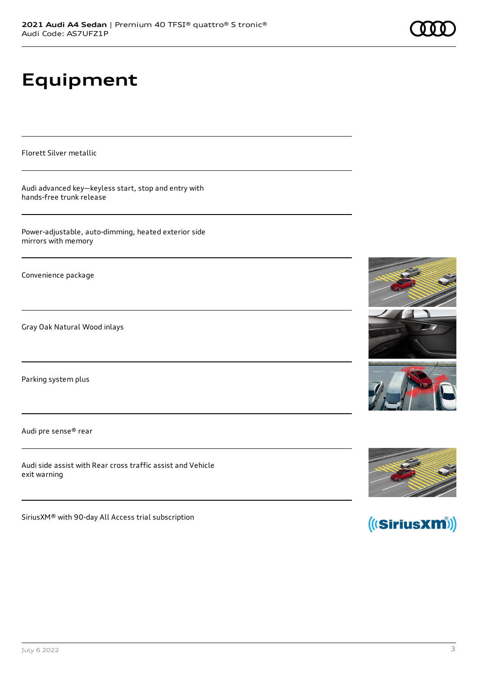# **Equipment**

Florett Silver metallic

Audi advanced key—keyless start, stop and entry with hands-free trunk release

Power-adjustable, auto-dimming, heated exterior side mirrors with memory

Convenience package

Gray Oak Natural Wood inlays

Parking system plus

Audi pre sense® rear

Audi side assist with Rear cross traffic assist and Vehicle exit warning

SiriusXM® with 90-day All Access trial subscription







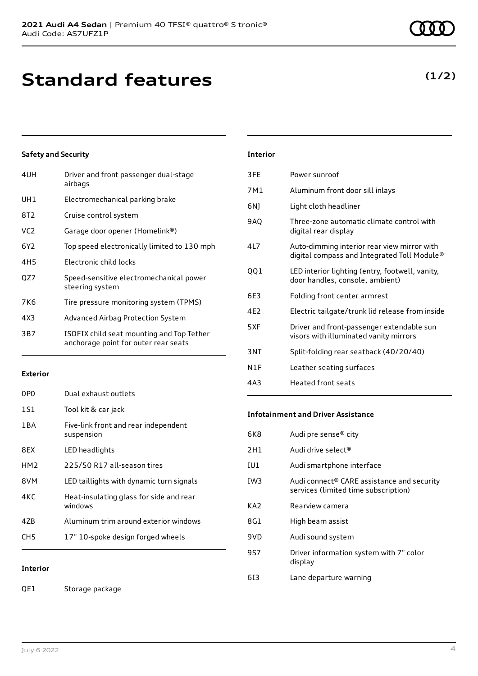| 4UH             | Driver and front passenger dual-stage<br>airbags                                  |
|-----------------|-----------------------------------------------------------------------------------|
| UH1             | Electromechanical parking brake                                                   |
| 8T2             | Cruise control system                                                             |
| VC <sub>2</sub> | Garage door opener (Homelink®)                                                    |
| 6Y2             | Top speed electronically limited to 130 mph                                       |
| 4H <sub>5</sub> | Electronic child locks                                                            |
| OZ7             | Speed-sensitive electromechanical power<br>steering system                        |
| 7K6             | Tire pressure monitoring system (TPMS)                                            |
| 4X3             | Advanced Airbag Protection System                                                 |
| 3B7             | ISOFIX child seat mounting and Top Tether<br>anchorage point for outer rear seats |

#### **Exterior**

| 0PO             | Dual exhaust outlets                               |
|-----------------|----------------------------------------------------|
| 1S1             | Tool kit & car jack                                |
| 1 B A           | Five-link front and rear independent<br>suspension |
| 8EX             | LED headlights                                     |
| HM <sub>2</sub> | 225/50 R17 all-season tires                        |
| 8VM             | LED taillights with dynamic turn signals           |
| 4KC             | Heat-insulating glass for side and rear<br>windows |
| 47B             | Aluminum trim around exterior windows              |
| CH5             | 17" 10-spoke design forged wheels                  |

**Interior**

QE1 Storage package

| Interior |
|----------|
|----------|

| 3FE             | Power sunroof                                                                              |
|-----------------|--------------------------------------------------------------------------------------------|
| 7M1             | Aluminum front door sill inlays                                                            |
| 6N)             | Light cloth headliner                                                                      |
| 9AQ             | Three-zone automatic climate control with<br>digital rear display                          |
| 417             | Auto-dimming interior rear view mirror with<br>digital compass and Integrated Toll Module® |
| 001             | LED interior lighting (entry, footwell, vanity,<br>door handles, console, ambient)         |
| 6E3             | Folding front center armrest                                                               |
| 4F <sub>2</sub> | Electric tailgate/trunk lid release from inside                                            |
| 5XF             | Driver and front-passenger extendable sun<br>visors with illuminated vanity mirrors        |
| 3NT             | Split-folding rear seatback (40/20/40)                                                     |
| N1F             | Leather seating surfaces                                                                   |
| 4A3             | <b>Heated front seats</b>                                                                  |

#### **Infotainment and Driver Assistance**

| 6K8             | Audi pre sense <sup>®</sup> city                                                               |
|-----------------|------------------------------------------------------------------------------------------------|
| 2H1             | Audi drive select <sup>®</sup>                                                                 |
| IU1             | Audi smartphone interface                                                                      |
| IW <sub>3</sub> | Audi connect <sup>®</sup> CARE assistance and security<br>services (limited time subscription) |
| KA <sub>2</sub> | Rearview camera                                                                                |
| 8G1             | High beam assist                                                                               |
| 9VD             | Audi sound system                                                                              |
| 9S7             | Driver information system with 7" color<br>display                                             |
| 613             | Lane departure warning                                                                         |

### **(1/2)**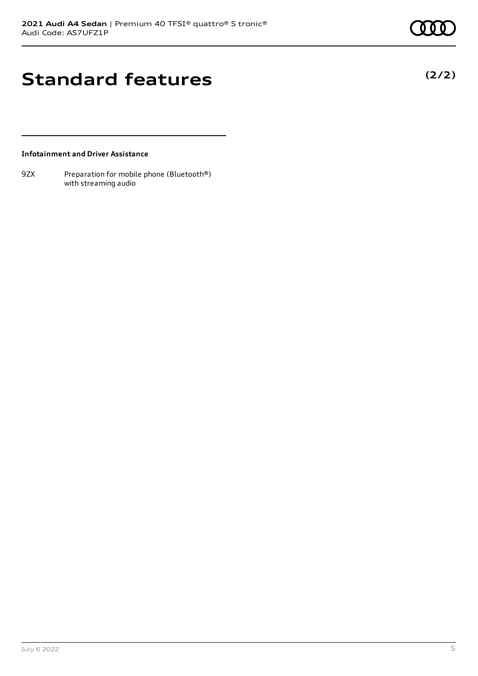**(2/2)**

## **Standard features**

**Infotainment and Driver Assistance**

9ZX Preparation for mobile phone (Bluetooth®) with streaming audio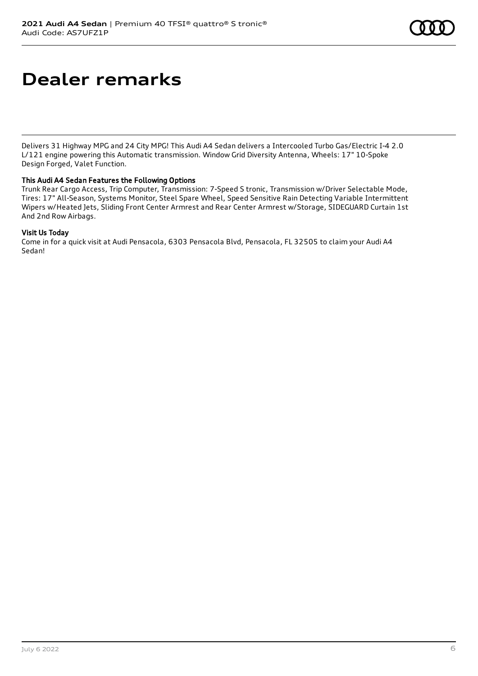## **Dealer remarks**

Delivers 31 Highway MPG and 24 City MPG! This Audi A4 Sedan delivers a Intercooled Turbo Gas/Electric I-4 2.0 L/121 engine powering this Automatic transmission. Window Grid Diversity Antenna, Wheels: 17" 10-Spoke Design Forged, Valet Function.

#### This Audi A4 Sedan Features the Following Options

Trunk Rear Cargo Access, Trip Computer, Transmission: 7-Speed S tronic, Transmission w/Driver Selectable Mode, Tires: 17" All-Season, Systems Monitor, Steel Spare Wheel, Speed Sensitive Rain Detecting Variable Intermittent Wipers w/Heated Jets, Sliding Front Center Armrest and Rear Center Armrest w/Storage, SIDEGUARD Curtain 1st And 2nd Row Airbags.

#### Visit Us Today

Come in for a quick visit at Audi Pensacola, 6303 Pensacola Blvd, Pensacola, FL 32505 to claim your Audi A4 Sedan!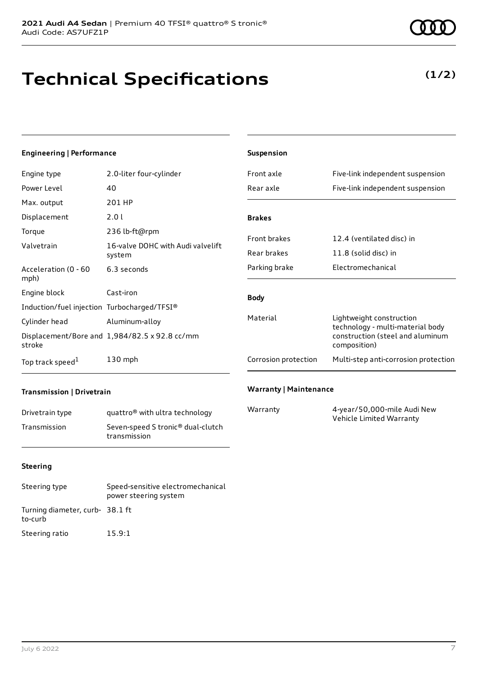## **Technical Specifications**

### **(1/2)**

#### **Engineering | Performance**

| Engine type                                 | 2.0-liter four-cylinder                       |
|---------------------------------------------|-----------------------------------------------|
| Power Level                                 | 40                                            |
| Max. output                                 | 201 HP                                        |
| Displacement                                | 2.0 l                                         |
| Torque                                      | 236 lb-ft@rpm                                 |
| Valvetrain                                  | 16-valve DOHC with Audi valvelift<br>system   |
| Acceleration (0 - 60<br>mph)                | 6.3 seconds                                   |
| Engine block                                | Cast-iron                                     |
| Induction/fuel injection Turbocharged/TFSI® |                                               |
| Cylinder head                               | Aluminum-alloy                                |
| stroke                                      | Displacement/Bore and 1,984/82.5 x 92.8 cc/mm |
| Top track speed <sup>1</sup>                | $130$ mph                                     |

| <b>Suspension</b>    |                                                                                                                  |
|----------------------|------------------------------------------------------------------------------------------------------------------|
| Front axle           | Five-link independent suspension                                                                                 |
| Rear axle            | Five-link independent suspension                                                                                 |
|                      |                                                                                                                  |
| <b>Brakes</b>        |                                                                                                                  |
| <b>Front brakes</b>  | 12.4 (ventilated disc) in                                                                                        |
| Rear brakes          | 11.8 (solid disc) in                                                                                             |
| Parking brake        | Flectromechanical                                                                                                |
| <b>Body</b>          |                                                                                                                  |
| Material             | Lightweight construction<br>technology - multi-material body<br>construction (steel and aluminum<br>composition) |
| Corrosion protection | Multi-step anti-corrosion protection                                                                             |
|                      |                                                                                                                  |

#### **Transmission | Drivetrain**

| Drivetrain type | quattro <sup>®</sup> with ultra technology                    |
|-----------------|---------------------------------------------------------------|
| Transmission    | Seven-speed S tronic <sup>®</sup> dual-clutch<br>transmission |

#### **Warranty | Maintenance**

| Warranty | 4-year/50,000-mile Audi New |
|----------|-----------------------------|
|          | Vehicle Limited Warranty    |

#### **Steering**

| Steering type                             | Speed-sensitive electromechanical<br>power steering system |
|-------------------------------------------|------------------------------------------------------------|
| Turning diameter, curb-38.1 ft<br>to-curb |                                                            |
| Steering ratio                            | 15.9:1                                                     |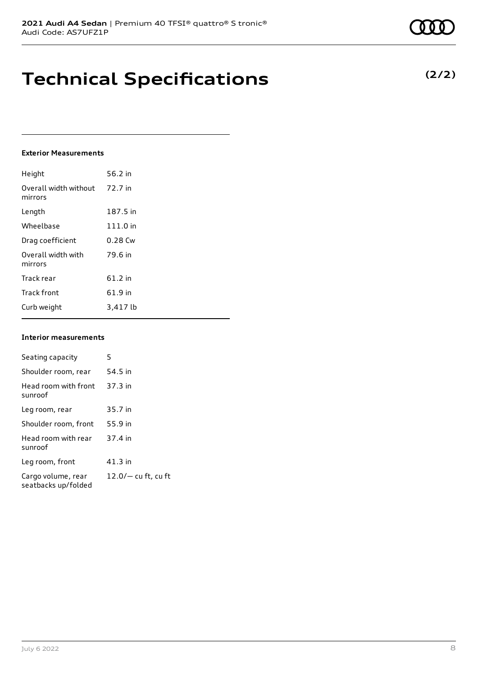## **Technical Specifications**

#### **Exterior Measurements**

| Height                           | 56.2 in   |
|----------------------------------|-----------|
| Overall width without<br>mirrors | 72.7 in   |
| Length                           | 187.5 in  |
| Wheelbase                        | 111.0 in  |
| Drag coefficient                 | $0.28$ Cw |
| Overall width with<br>mirrors    | 79.6 in   |
| Track rear                       | 61.2 in   |
| <b>Track front</b>               | 61.9 in   |
| Curb weight                      | 3,417 lb  |

#### **Interior measurements**

| Seating capacity                          | 5                     |
|-------------------------------------------|-----------------------|
| Shoulder room, rear                       | 54.5 in               |
| Head room with front<br>sunroof           | 37.3 in               |
| Leg room, rear                            | 35.7 in               |
| Shoulder room, front                      | 55.9 in               |
| Head room with rear<br>sunroof            | 37.4 in               |
| Leg room, front                           | $41.3$ in             |
| Cargo volume, rear<br>seatbacks up/folded | $12.0/-$ cu ft, cu ft |

### **(2/2)**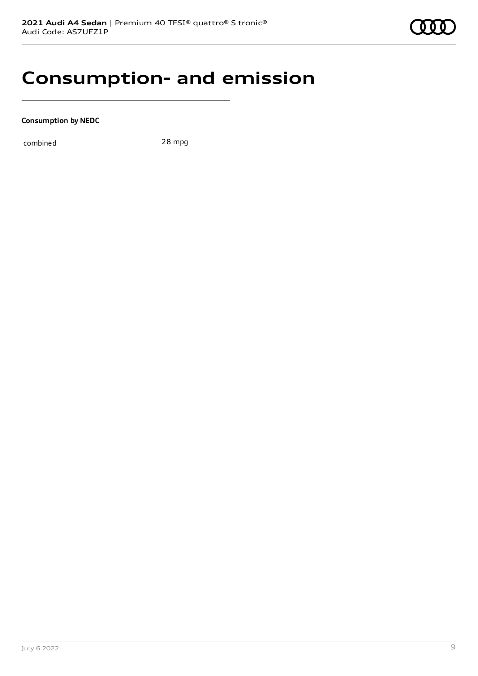

### **Consumption- and emission**

**Consumption by NEDC**

combined 28 mpg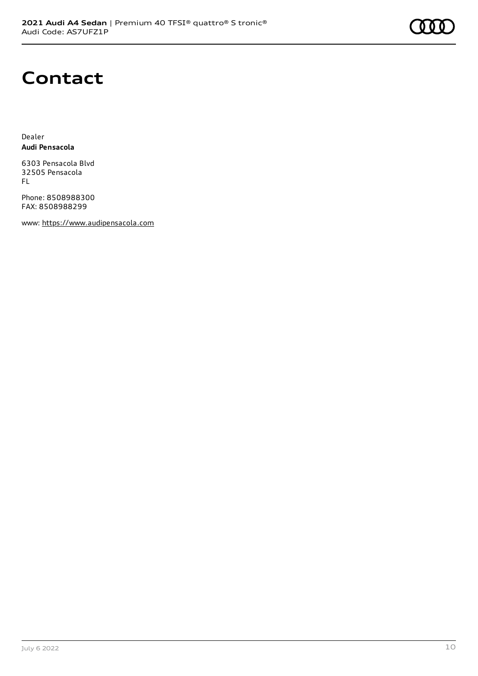

### **Contact**

Dealer **Audi Pensacola**

6303 Pensacola Blvd 32505 Pensacola FL

Phone: 8508988300 FAX: 8508988299

www: [https://www.audipensacola.com](https://www.audipensacola.com/)